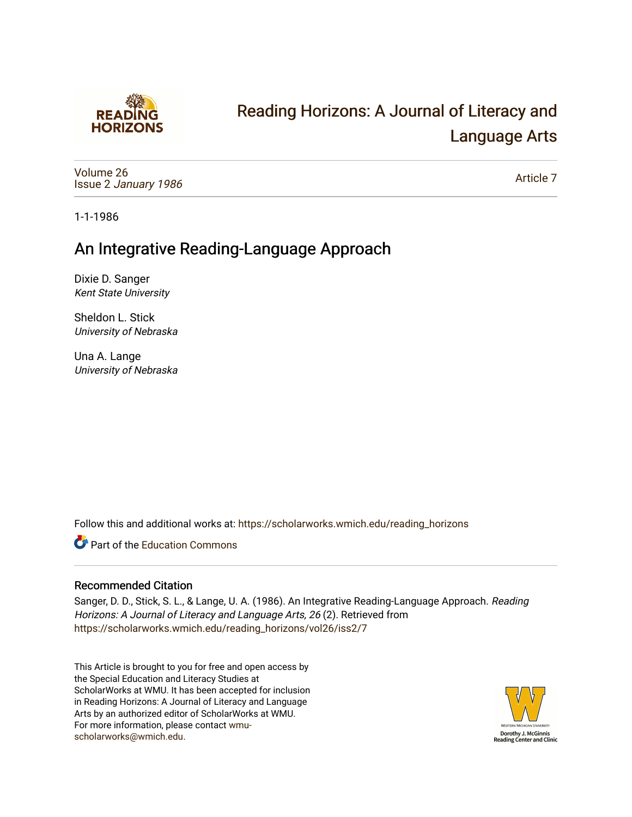

# [Reading Horizons: A Journal of Literacy and](https://scholarworks.wmich.edu/reading_horizons)  [Language Arts](https://scholarworks.wmich.edu/reading_horizons)

[Volume 26](https://scholarworks.wmich.edu/reading_horizons/vol26) Issue 2 [January 1986](https://scholarworks.wmich.edu/reading_horizons/vol26/iss2)

[Article 7](https://scholarworks.wmich.edu/reading_horizons/vol26/iss2/7) 

1-1-1986

## An Integrative Reading-Language Approach

Dixie D. Sanger Kent State University

Sheldon L. Stick University of Nebraska

Una A. Lange University of Nebraska

Follow this and additional works at: [https://scholarworks.wmich.edu/reading\\_horizons](https://scholarworks.wmich.edu/reading_horizons?utm_source=scholarworks.wmich.edu%2Freading_horizons%2Fvol26%2Fiss2%2F7&utm_medium=PDF&utm_campaign=PDFCoverPages)

**C** Part of the [Education Commons](http://network.bepress.com/hgg/discipline/784?utm_source=scholarworks.wmich.edu%2Freading_horizons%2Fvol26%2Fiss2%2F7&utm_medium=PDF&utm_campaign=PDFCoverPages)

### Recommended Citation

Sanger, D. D., Stick, S. L., & Lange, U. A. (1986). An Integrative Reading-Language Approach. Reading Horizons: A Journal of Literacy and Language Arts, 26 (2). Retrieved from [https://scholarworks.wmich.edu/reading\\_horizons/vol26/iss2/7](https://scholarworks.wmich.edu/reading_horizons/vol26/iss2/7?utm_source=scholarworks.wmich.edu%2Freading_horizons%2Fvol26%2Fiss2%2F7&utm_medium=PDF&utm_campaign=PDFCoverPages) 

This Article is brought to you for free and open access by the Special Education and Literacy Studies at ScholarWorks at WMU. It has been accepted for inclusion in Reading Horizons: A Journal of Literacy and Language Arts by an authorized editor of ScholarWorks at WMU. For more information, please contact [wmu](mailto:wmu-scholarworks@wmich.edu)[scholarworks@wmich.edu.](mailto:wmu-scholarworks@wmich.edu)

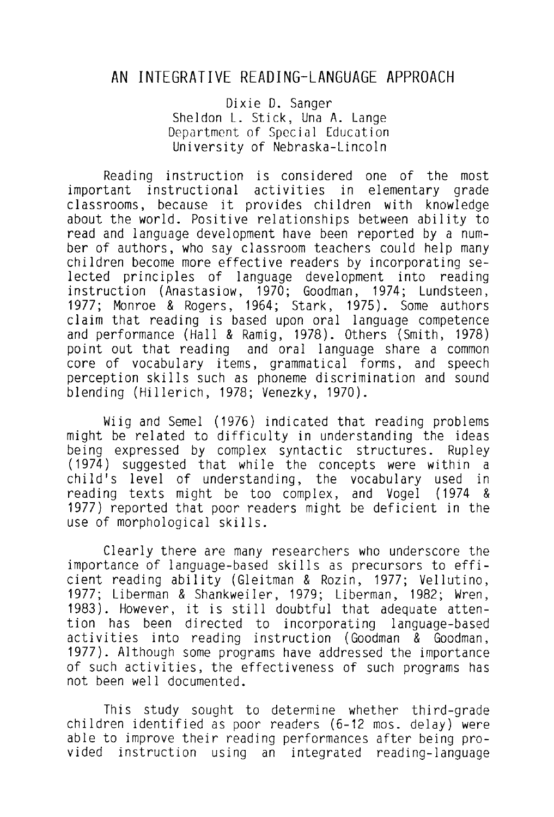## **AN** INTEGRATIVE READING-LANGUAGE APPROACH

Dixie D. Sanger Sheldon L. Stick, Una A. Lange Department of Special Education University of Nebraska-Lincoln

Reading instruction is considered one of the most<br>important instructional activities in elementary grade instructional activities in elementary classrooms, because it provides children with knowledge about the world. Positive relationships between ability to read and language development have been reported by a number of authors, who say classroom teachers could help many children become more effective readers by incorporating selected principles of language development into reading instruction (Anastasiow, 1970; Goodman, 1974; Lundsteen, 1977; Monroe & Rogers, 1964; Stark, 1975). Some authors claim that reading is based upon oral language competence and performance (Hall & Ramig, 1978). Others (Smith, 1978) point out that reading and oral language share a common core of vocabulary items, grammatical forms, and speech perception skills such as phoneme discrimination and sound blending (Hillerich, 1978; Venezky, 1970).

Wiig and Semel (1976) indicated that reading problems might be related to difficulty in understanding the ideas being expressed by complex syntactic structures. Rupley  $(1974)$  suggested that while the concepts were within a child's level of understanding, the vocabulary used in reading texts might be too complex, and Vogel (1974 & 1977) reported that poor readers might be deficient in the use of morphological skills.

Clearly there are many researchers who underscore the importance of language-based skills as precursors to efficient reading ability (Gleitman & Rozin, 1977; Vellutino, 1977; Liberman & Shankweiler, 1979; Liberman, 1982; Wren, 1983). However, it is still doubtful that adequate attention has been directed to incorporating language-based activities into reading instruction (Goodman & Goodman, 1977). Although some programs have addressed the importance of such activities, the effectiveness of such programs has not been well documented.

This study sought to determine whether third-grade children identified as poor readers (6-12 mos. delay) were able to improve their reading performances after being provided instruction using an integrated reading-language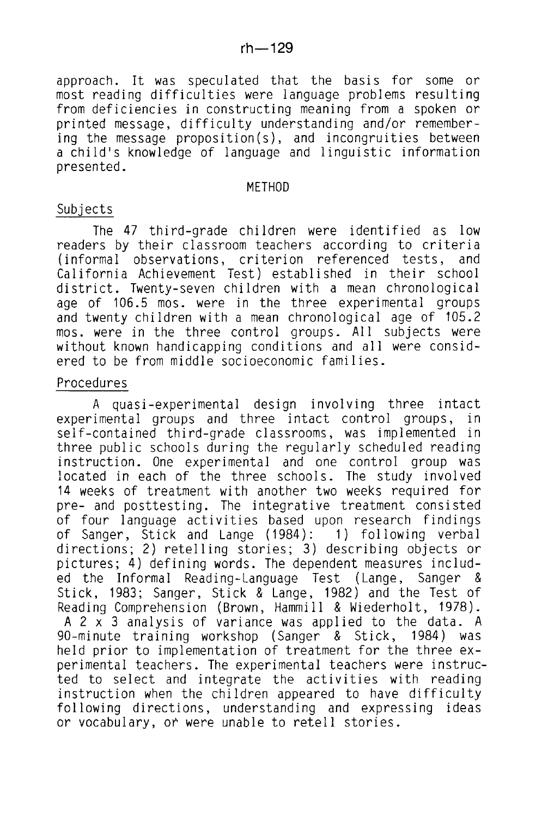approach. It was speculated that the basis for some or most reading difficulties were language problems resulting from deficiencies in constructing meaning from a spoken or printed message, difficulty understanding and/or remembering the message proposition(s), and incongruities between a child's knowledge of language and linguistic information presented.

#### METHOD

#### Subjects

The 47 third-grade children were identified as low readers by their classroom teachers according to criteria<br>(informal observations, criterion referenced tests, and (informal observations, criterion referenced tests, California Achievement Test) established in their school district. Twenty-seven children with a mean chronological age of 106.5 mos. were in the three experimental groups and twenty children with a mean chronological age of 105.2 mos. were in the three control groups. All subjects were without known handicapping conditions and all were considered to be from middle socioeconomic families.

#### Procedures

A quasi-experimental design involving three intact experimental groups and three intact control groups, self-contained third-grade classrooms, was implemented in three public schools during the regularly scheduled reading instruction. One experimental and one control group was located in each of the three schools. The study involved 14 weeks of treatment with another two weeks required for pre- and posttesting. The integrative treatment consisted of four language activities based upon research findings of Sanger, Stick and Lange (1984): 1) following verbal directions; 2) retelling stories; 3) describing objects or pictures; 4) defining words. The dependent measures included the Informal Reading-Language Test (Lange, Sanger & Stick, 1983; Sanger, Stick & Lange, 1982) and the Test of Reading Comprehension (Brown, Hammill & Wiederholt, 1978). A 2 x 3 analysis of variance was applied to the data. A 90-minute training workshop (Sanger & Stick, 1984) was held prior to implementation of treatment for the three experimental teachers. The experimental teachers were instructed to select and integrate the activities with reading instruction when the children appeared to have difficulty following directions, understanding and expressing ideas or vocabulary, or were unable to retell stories.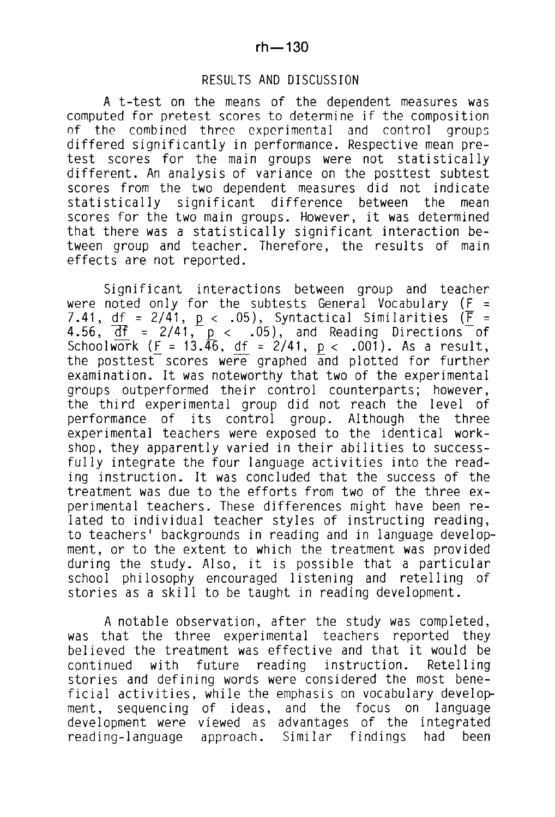#### RESULTS AND DISCUSSION

A t-test on the means of the dependent measures was computed for pretest scores to determine if the composition<br>of the combined three experimental and control groups differed significantly in performance. Respective mean pretest scores for the main groups were not statistically different. An analysis of variance on the posttest subtest scores from the two dependent measures did not indicate statistically significant difference between the mean scores for the two main groups. However, it was determined that there was a statistically significant interaction between group and teacher. Therefore, the results of main effects are not reported.

Significant interactions between group and teacher were noted only for the subtests General Vocabulary ( $F =$ 7.41, df =  $2/41$ , p < .05), Syntactical Similarities ( $\overline{F}$  = 4.56,  $\overline{df}$  = 2/41,  $p < .05$ ), and Reading Directions of Schoolwork (F = 13.46, df = 2/41,  $p < .001$ ). As a result, the posttest scores were graphed and plotted for further examination. It was noteworthy that two of the experimental groups outperformed their control counterparts; however, the third experimental group did not reach the level of performance of its control group. Although the three experimental teachers were exposed to the identical workshop, they apparently varied in their abilities to successfully integrate the four language activities into the reading instruction. It was concluded that the success of the treatment was due to the efforts from two of the three experimental teachers. These differences might have been related to individual teacher styles of instructing reading, to teachers' backgrounds in reading and in language development, or to the extent to which the treatment was provided during the study. Also, it is possible that a particular school philosophy encouraged listening and retelling of stories as a skill to be taught in reading development.

A notable observation, after the study was completed, was that the three experimental teachers reported they believed the treatment was effective and that it would be<br>continued with future reading instruction. Retelling continued with future reading instruction. Retelling stories and defining words were considered the most beneficial activities, while the emphasis on vocabulary development, sequencing of ideas, and the focus on language development were viewed as advantages of the integrated<br>reading-language approach. Similar findings had been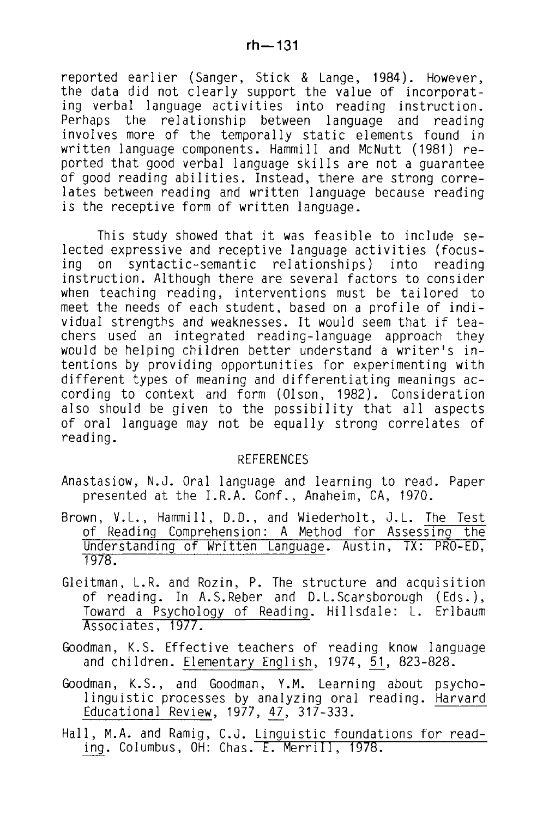reported earlier (Sanger, Stick & Lange, 1984). However, the data did not clearly support the value of incorporat-<br>ing verbal language activities into reading instruction. Perhaps the relationship between language and reading invol ves more of the temporally static elements found in written language components. Hammill and McNutt (1981) reported that good verbal language skills are not a guarantee of good reading abilities. Instead, there are strong correlates between reading and written language because reading is the receptive form of written language.

This study showed that it was feasible to include selected expressive and receptive language activities (focus-<br>ing on syntactic-semantic relationships) into reading ing on syntactic-semantic relationships) into reading instruction. Although there are several factors to consider when teaching reading, interventions must be tailored to meet the needs of each student, based on a profile of individual strengths and weaknesses. It would seem that if teachers used an integrated reading-language approach they would be helping children better understand a writer's intentions by providing opportunities for experimenting with different types of meaning and differentiating meanings according to context and form (Olson, 1982). Consideration also should be given to the possibility that all aspects of oral language may not be equally strong correlates of reading.

#### REFERENCES

Anastasiow, N.J. Oral language and learning to read. Paper presented at the I.R.A. Conf., Anaheim, CA, 1970.

- Brown, V.L., Hammill, D.D., and Wiederholt, J.L. The Test of Reading Comprehension: A Method for Assessing the Understanding of Written Language. Austin, TX: PRO-ED, 1978.
- Gleitman, L.R. and Rozin, P. The structure and acquisition of reading. In A.S.Reber and D.L.Scarsborough (Eds.), Toward a Psychology of Reading. Hillsdale: L. Erlbaum Associates, 1977.
- Goodman, K.S. Effective teachers of reading know language and children. Elementary English, 1974, 51, 823-828.
- Goodman, K.S., and Goodman, Y.M. Learning about psycho- linguistic processes by analyzing oral reading. Harvard Educational Review, 1977, 47, 317-333.
- Hall, M.A. and Ramig, C.J. Linguistic foundations for reading. Columbus, OH: Chas. E. Merrill, 1978.